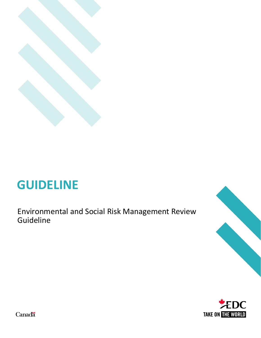

# **GUIDELINE**

Environmental and Social Risk Management Review Guideline





Canadä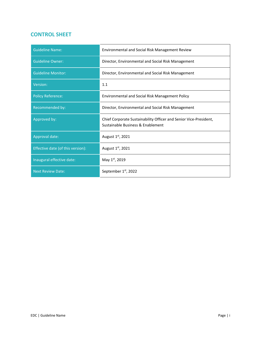## **CONTROL SHEET**

| <b>Guideline Name:</b>            | Environmental and Social Risk Management Review                                                        |
|-----------------------------------|--------------------------------------------------------------------------------------------------------|
| <b>Guideline Owner:</b>           | Director, Environmental and Social Risk Management                                                     |
| <b>Guideline Monitor:</b>         | Director, Environmental and Social Risk Management                                                     |
| Version:                          | 1.1                                                                                                    |
| <b>Policy Reference:</b>          | Environmental and Social Risk Management Policy                                                        |
| Recommended by:                   | Director, Environmental and Social Risk Management                                                     |
| Approved by:                      | Chief Corporate Sustainability Officer and Senior Vice-President,<br>Sustainable Business & Enablement |
| Approval date:                    | August 1st, 2021                                                                                       |
| Effective date (of this version): | August 1st, 2021                                                                                       |
| Inaugural effective date:         | May 1st, 2019                                                                                          |
| <b>Next Review Date:</b>          | September 1st, 2022                                                                                    |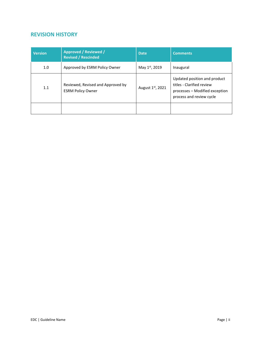## **REVISION HISTORY**

| <b>Version</b> | <b>Approved / Reviewed /</b><br><b>Revised / Rescinded</b>    | Date             | <b>Comments</b>                                                                                                         |
|----------------|---------------------------------------------------------------|------------------|-------------------------------------------------------------------------------------------------------------------------|
| 1.0            | Approved by ESRM Policy Owner                                 | May 1st, 2019    | Inaugural                                                                                                               |
| 1.1            | Reviewed, Revised and Approved by<br><b>ESRM Policy Owner</b> | August 1st, 2021 | Updated position and product<br>titles - Clarified review<br>processes - Modified exception<br>process and review cycle |
|                |                                                               |                  |                                                                                                                         |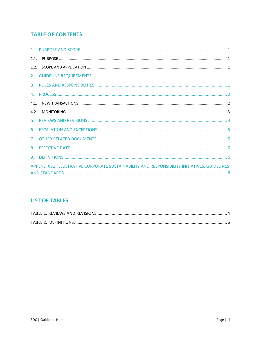## **TABLE OF CONTENTS**

| 1.1. |  |
|------|--|
|      |  |
|      |  |
|      |  |
|      |  |
| 4.1. |  |
| 4.2. |  |
|      |  |
|      |  |
|      |  |
|      |  |
|      |  |
|      |  |

## **LIST OF TABLES**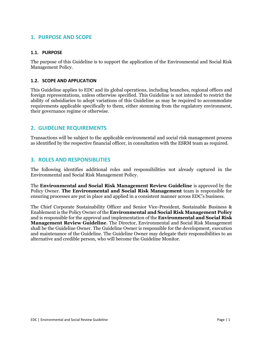## **1. PURPOSE AND SCOPE**

#### **1.1. PURPOSE**

The purpose of this Guideline is to support the application of the Environmental and Social Risk Management Policy.

#### **1.2. SCOPE AND APPLICATION**

This Guideline applies to EDC and its global operations, including branches, regional offices and foreign representations, unless otherwise specified. This Guideline is not intended to restrict the ability of subsidiaries to adopt variations of this Guideline as may be required to accommodate requirements applicable specifically to them, either stemming from the regulatory environment, their governance regime or otherwise.

#### **2. GUIDELINE REQUIREMENTS**

Transactions will be subject to the applicable environmental and social risk management process as identified by the respective financial officer, in consultation with the ESRM team as required.

#### **3. ROLES AND RESPONSIBLITIES**

The following identifies additional roles and responsibilities not already captured in the Environmental and Social Risk Management Policy.

The **Environmental and Social Risk Management Review Guideline** is approved by the Policy Owner. **The Environmental and Social Risk Management** team is responsible for ensuring processes are put in place and applied in a consistent manner across EDC's business.

The Chief Corporate Sustainability Officer and Senior Vice-President, Sustainable Business & Enablement is the Policy Owner of the **Environmental and Social Risk Management Policy** and is responsible for the approval and implementation of the **Environmental and Social Risk Management Review Guideline**. The Director, Environmental and Social Risk Management shall be the Guideline Owner. The Guideline Owner is responsible for the development, execution and maintenance of the Guideline. The Guideline Owner may delegate their responsibilities to an alternative and credible person, who will become the Guideline Monitor.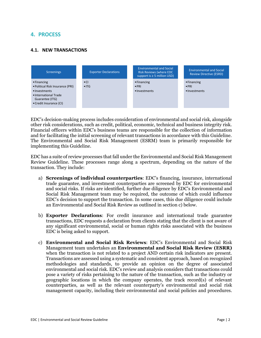## **4. PROCESS**

#### **4.1. NEW TRANSACTIONS**



EDC's decision-making process includes consideration of environmental and social risk, alongside other risk considerations, such as credit, political, economic, technical and business integrity risk. Financial officers within EDC's business teams are responsible for the collection of information and for facilitating the initial screening of relevant transactions in accordance with this Guideline. The Environmental and Social Risk Management (ESRM) team is primarily responsible for implementing this Guideline.

EDC has a suite of review processes that fall under the Environmental and Social Risk Management Review Guideline. These processes range along a spectrum, depending on the nature of the transaction. They include:

- a) **Screenings of individual counterparties**: EDC's financing, insurance, international trade guarantee, and investment counterparties are screened by EDC for environmental and social risks. If risks are identified, further due diligence by EDC's Environmental and Social Risk Management team may be required, the outcome of which could influence EDC's decision to support the transaction. In some cases, this due diligence could include an Environmental and Social Risk Review as outlined in section c) below.
- b) **Exporter Declarations**: For credit insurance and international trade guarantee transactions, EDC requests a declaration from clients stating that the client is not aware of any significant environmental, social or human rights risks associated with the business EDC is being asked to support.
- c) **Environmental and Social Risk Reviews**: EDC's Environmental and Social Risk Management team undertakes an **Environmental and Social Risk Review (ESRR)** when the transaction is not related to a project AND certain risk indicators are present. Transactions are assessed using a systematic and consistent approach, based on recognized methodologies and standards, to provide an opinion on the degree of associated environmental and social risk. EDC's review and analysis considers that transactions could pose a variety of risks pertaining to the nature of the transaction, such as the industry or geographic locations in which the company operates, the track record(s) of relevant counterparties, as well as the relevant counterparty's environmental and social risk management capacity, including their environmental and social policies and procedures.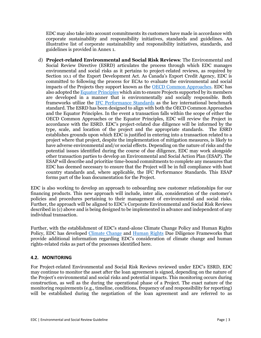EDC may also take into account commitments its customers have made in accordance with corporate sustainability and responsibility initiatives, standards and guidelines. An illustrative list of corporate sustainability and responsibility initiatives, standards, and guidelines is provided in Annex 1.

d) **Project-related Environmental and Social Risk Reviews**: The Environmental and Social Review Directive (ESRD) articulates the process through which EDC manages environmental and social risks as it pertains to project-related reviews, as required by Section 10.1 of the Export Development Act. As Canada's Export Credit Agency, EDC is committed to following the process for ECAs to evaluate the environmental and social impacts of the Projects they support known as the [OECD Common Approaches.](https://legalinstruments.oecd.org/en/instruments/OECD-LEGAL-0393) EDC has also adopted th[e Equator Principles](https://equator-principles.com/about/) which aim to ensure Projects supported by its members are developed in a manner that is environmentally and socially responsible. Both frameworks utilize the [IFC Performance Standards](https://www.ifc.org/wps/wcm/connect/Topics_Ext_Content/IFC_External_Corporate_Site/Sustainability-At-IFC/Policies-Standards/Performance-Standards) as the key international benchmark standard. The ESRD has been designed to align with both the OECD Common Approaches and the Equator Principles. In the event a transaction falls within the scope of either the OECD Common Approaches or the Equator Principles, EDC will review the Project in accordance with the ESRD. EDC's project-related due diligence will be informed by the type, scale, and location of the project and the appropriate standards. The ESRD establishes grounds upon which EDC is justified in entering into a transaction related to a project where that project, despite the implementation of mitigation measures, is likely to have adverse environmental and/or social effects. Depending on the nature of risks and the potential issues identified during the course of due diligence, EDC may work alongside other transaction parties to develop an Environmental and Social Action Plan (ESAP). The ESAP will describe and prioritize time-bound commitments to complete any measures that EDC has deemed necessary to ensure that the Project will be in full compliance with host country standards and, where applicable, the IFC Performance Standards. This ESAP forms part of the loan documentation for the Project.

EDC is also working to develop an approach to onboarding new customer relationships for our financing products. This new approach will include, inter alia, consideration of the customer's policies and procedures pertaining to their management of environmental and social risks. Further, the approach will be aligned to EDC's Corporate Environmental and Social Risk Reviews described in (c) above and is being designed to be implemented in advance and independent of any individual transaction.

Further, with the establishment of EDC's stand-alone Climate Change Policy and Human Rights Policy, EDC has developed [Climate Change](https://www.edc.ca/content/dam/edc/en/corporate/corporate-social-responsibility/environment-people/climate-change-framework.pdf) and [Human Rights](https://www.edc.ca/content/dam/edc/en/corporate/corporate-social-responsibility/environment-people/human-rights-framework.pdf) Due Diligence Frameworks that provide additional information regarding EDC's consideration of climate change and human rights-related risks as part of the processes identified here.

#### **4.2. MONITORING**

For Project-related Environmental and Social Risk Reviews reviewed under EDC's ESRD, EDC may continue to monitor the asset after the loan agreement is signed, depending on the nature of the Project's environmental and social risks and potential impacts. This monitoring occurs during construction, as well as the during the operational phase of a Project. The exact nature of the monitoring requirements (e.g., timeline, conditions, frequency of and responsibility for reporting) will be established during the negotiation of the loan agreement and are referred to as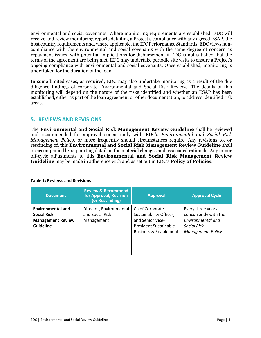environmental and social covenants. Where monitoring requirements are established, EDC will receive and review monitoring reports detailing a Project's compliance with any agreed ESAP, the host country requirements and, where applicable, the IFC Performance Standards. EDC views noncompliance with the environmental and social covenants with the same degree of concern as repayment issues, with potential implications for disbursement if EDC is not satisfied that the terms of the agreement are being met. EDC may undertake periodic site visits to ensure a Project's ongoing compliance with environmental and social covenants. Once established, monitoring is undertaken for the duration of the loan.

In some limited cases, as required, EDC may also undertake monitoring as a result of the due diligence findings of corporate Environmental and Social Risk Reviews. The details of this monitoring will depend on the nature of the risks identified and whether an ESAP has been established, either as part of the loan agreement or other documentation, to address identified risk areas.

### **5. REVIEWS AND REVISIONS**

The **Environmental and Social Risk Management Review Guideline** shall be reviewed and recommended for approval concurrently with EDC's *Environmental and Social Risk Management Policy*, or more frequently should circumstances require. Any revisions to, or rescinding of, this **Environmental and Social Risk Management Review Guideline** shall be accompanied by supporting detail on the material changes and associated rationale. Any minor off-cycle adjustments to this **Environmental and Social Risk Management Review Guideline** may be made in adherence with and as set out in EDC's **Policy of Policies**.

| <b>Document</b>                                                                                | <b>Review &amp; Recommend</b><br>for Approval, Revision<br>(or Rescinding) | <b>Approval</b>                                                                                                                           | <b>Approval Cycle</b>                                                                                             |
|------------------------------------------------------------------------------------------------|----------------------------------------------------------------------------|-------------------------------------------------------------------------------------------------------------------------------------------|-------------------------------------------------------------------------------------------------------------------|
| <b>Environmental and</b><br><b>Social Risk</b><br><b>Management Review</b><br><b>Guideline</b> | Director, Environmental<br>and Social Risk<br>Management                   | <b>Chief Corporate</b><br>Sustainability Officer,<br>and Senior Vice-<br><b>President Sustainable</b><br><b>Business &amp; Enablement</b> | Every three years<br>concurrently with the<br>Environmental and<br><b>Social Risk</b><br><b>Management Policy</b> |

#### **Table 1: Reviews and Revisions**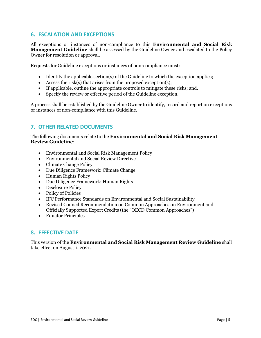## **6. ESCALATION AND EXCEPTIONS**

All exceptions or instances of non-compliance to this **Environmental and Social Risk Management Guideline** shall be assessed by the Guideline Owner and escalated to the Policy Owner for resolution or approval.

Requests for Guideline exceptions or instances of non-compliance must:

- Identify the applicable section(s) of the Guideline to which the exception applies;
- Assess the risk(s) that arises from the proposed exception(s);
- If applicable, outline the appropriate controls to mitigate these risks; and,
- Specify the review or effective period of the Guideline exception.

A process shall be established by the Guideline Owner to identify, record and report on exceptions or instances of non-compliance with this Guideline.

## **7. OTHER RELATED DOCUMENTS**

The following documents relate to the **Environmental and Social Risk Management Review Guideline**:

- Environmental and Social Risk Management Policy
- Environmental and Social Review Directive
- Climate Change Policy
- Due Diligence Framework: Climate Change
- Human Rights Policy
- Due Diligence Framework: Human Rights
- Disclosure Policy
- Policy of Policies
- IFC Performance Standards on Environmental and Social Sustainability
- Revised Council Recommendation on Common Approaches on Environment and Officially Supported Export Credits (the "OECD Common Approaches")
- Equator Principles

#### **8. EFFECTIVE DATE**

This version of the **Environmental and Social Risk Management Review Guideline** shall take effect on August 1, 2021.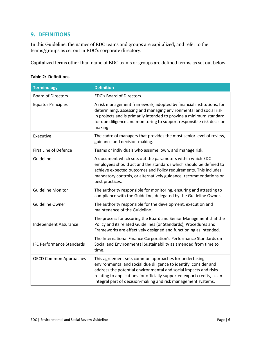## **9. DEFINITIONS**

In this Guideline, the names of EDC teams and groups are capitalized, and refer to the teams/groups as set out in EDC's corporate directory.

Capitalized terms other than name of EDC teams or groups are defined terms, as set out below.

| <b>Terminology</b>               | <b>Definition</b>                                                                                                                                                                                                                                                                                                                         |
|----------------------------------|-------------------------------------------------------------------------------------------------------------------------------------------------------------------------------------------------------------------------------------------------------------------------------------------------------------------------------------------|
| <b>Board of Directors</b>        | EDC's Board of Directors.                                                                                                                                                                                                                                                                                                                 |
| <b>Equator Principles</b>        | A risk management framework, adopted by financial institutions, for<br>determining, assessing and managing environmental and social risk<br>in projects and is primarily intended to provide a minimum standard<br>for due diligence and monitoring to support responsible risk decision-<br>making.                                      |
| Executive                        | The cadre of managers that provides the most senior level of review,<br>guidance and decision-making.                                                                                                                                                                                                                                     |
| First Line of Defence            | Teams or individuals who assume, own, and manage risk.                                                                                                                                                                                                                                                                                    |
| Guideline                        | A document which sets out the parameters within which EDC<br>employees should act and the standards which should be defined to<br>achieve expected outcomes and Policy requirements. This includes<br>mandatory controls, or alternatively guidance, recommendations or<br>best practices.                                                |
| <b>Guideline Monitor</b>         | The authority responsible for monitoring, ensuring and attesting to<br>compliance with the Guideline, delegated by the Guideline Owner.                                                                                                                                                                                                   |
| Guideline Owner                  | The authority responsible for the development, execution and<br>maintenance of the Guideline.                                                                                                                                                                                                                                             |
| Independent Assurance            | The process for assuring the Board and Senior Management that the<br>Policy and its related Guidelines (or Standards), Procedures and<br>Frameworks are effectively designed and functioning as intended.                                                                                                                                 |
| <b>IFC Performance Standards</b> | The International Finance Corporation's Performance Standards on<br>Social and Environmental Sustainability as amended from time to<br>time.                                                                                                                                                                                              |
| <b>OECD Common Approaches</b>    | This agreement sets common approaches for undertaking<br>environmental and social due diligence to identify, consider and<br>address the potential environmental and social impacts and risks<br>relating to applications for officially supported export credits, as an<br>integral part of decision-making and risk management systems. |

#### **Table 2: Definitions**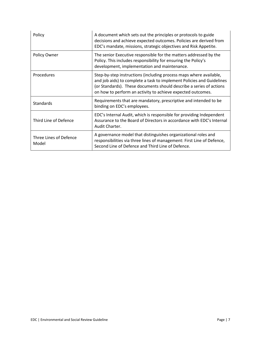| Policy                          | A document which sets out the principles or protocols to guide<br>decisions and achieve expected outcomes. Policies are derived from<br>EDC's mandate, missions, strategic objectives and Risk Appetite.                                                                          |
|---------------------------------|-----------------------------------------------------------------------------------------------------------------------------------------------------------------------------------------------------------------------------------------------------------------------------------|
| Policy Owner                    | The senior Executive responsible for the matters addressed by the<br>Policy. This includes responsibility for ensuring the Policy's<br>development, implementation and maintenance.                                                                                               |
| Procedures                      | Step-by-step instructions (including process maps where available,<br>and job aids) to complete a task to implement Policies and Guidelines<br>(or Standards). These documents should describe a series of actions<br>on how to perform an activity to achieve expected outcomes. |
| Standards                       | Requirements that are mandatory, prescriptive and intended to be<br>binding on EDC's employees.                                                                                                                                                                                   |
| Third Line of Defence           | EDC's Internal Audit, which is responsible for providing Independent<br>Assurance to the Board of Directors in accordance with EDC's Internal<br>Audit Charter.                                                                                                                   |
| Three Lines of Defence<br>Model | A governance model that distinguishes organizational roles and<br>responsibilities via three lines of management: First Line of Defence,<br>Second Line of Defence and Third Line of Defence.                                                                                     |